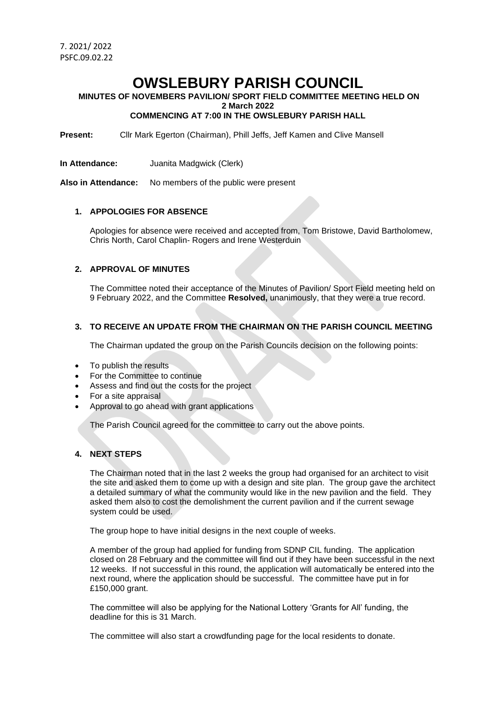# **OWSLEBURY PARISH COUNCIL**

#### **MINUTES OF NOVEMBERS PAVILION/ SPORT FIELD COMMITTEE MEETING HELD ON 2 March 2022 COMMENCING AT 7:00 IN THE OWSLEBURY PARISH HALL**

**Present:** Cllr Mark Egerton (Chairman), Phill Jeffs, Jeff Kamen and Clive Mansell

**In Attendance:** Juanita Madgwick (Clerk)

**Also in Attendance:** No members of the public were present

### **1. APPOLOGIES FOR ABSENCE**

Apologies for absence were received and accepted from, Tom Bristowe, David Bartholomew, Chris North, Carol Chaplin- Rogers and Irene Westerduin

### **2. APPROVAL OF MINUTES**

The Committee noted their acceptance of the Minutes of Pavilion/ Sport Field meeting held on 9 February 2022, and the Committee **Resolved,** unanimously, that they were a true record.

# **3. TO RECEIVE AN UPDATE FROM THE CHAIRMAN ON THE PARISH COUNCIL MEETING**

The Chairman updated the group on the Parish Councils decision on the following points:

- To publish the results
- For the Committee to continue
- Assess and find out the costs for the project
- For a site appraisal
- Approval to go ahead with grant applications

The Parish Council agreed for the committee to carry out the above points.

### **4. NEXT STEPS**

The Chairman noted that in the last 2 weeks the group had organised for an architect to visit the site and asked them to come up with a design and site plan. The group gave the architect a detailed summary of what the community would like in the new pavilion and the field. They asked them also to cost the demolishment the current pavilion and if the current sewage system could be used.

The group hope to have initial designs in the next couple of weeks.

A member of the group had applied for funding from SDNP CIL funding. The application closed on 28 February and the committee will find out if they have been successful in the next 12 weeks. If not successful in this round, the application will automatically be entered into the next round, where the application should be successful. The committee have put in for £150,000 grant.

The committee will also be applying for the National Lottery 'Grants for All' funding, the deadline for this is 31 March.

The committee will also start a crowdfunding page for the local residents to donate.